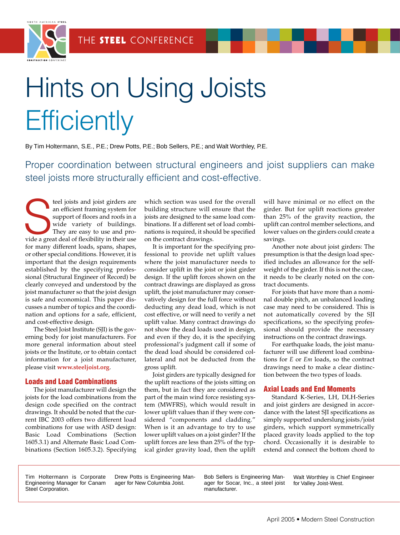

# Hints on Using Joists **Efficiently**

By Tim Holtermann, S.E., P.E.; Drew Potts, P.E.; Bob Sellers, P.E.; and Walt Worthley, P.E.

Proper coordination between structural engineers and joist suppliers can make steel joists more structurally efficient and cost-effective.

teel joists and joist girders are<br>an efficient framing system for<br>support of floors and roofs in a<br>wide variety of buildings.<br>They are easy to use and pro-<br>vide a great deal of flexibility in their use teel joists and joist girders are an efficient framing system for support of floors and roofs in a wide variety of buildings. They are easy to use and profor many different loads, spans, shapes, or other special conditions. However, it is important that the design requirements established by the specifying professional (Structural Engineer of Record) be clearly conveyed and understood by the joist manufacturer so that the joist design is safe and economical. This paper discusses a number of topics and the coordination and options for a safe, efficient, and cost-effective design.

The Steel Joist Institute (SJI) is the governing body for joist manufacturers. For more general information about steel joists or the Institute, or to obtain contact information for a joist manufacturer, please visit **www.steeljoist.org**.

#### **Loads and Load Combinations**

The joist manufacturer will design the joists for the load combinations from the design code specified on the contract drawings. It should be noted that the current IBC 2003 offers two different load combinations for use with ASD design: Basic Load Combinations (Section 1605.3.1) and Alternate Basic Load Combinations (Section 1605.3.2). Specifying

which section was used for the overall building structure will ensure that the joists are designed to the same load combinations. If a different set of load combinations is required, it should be specified on the contract drawings.

It is important for the specifying professional to provide net uplift values where the joist manufacturer needs to consider uplift in the joist or joist girder design. If the uplift forces shown on the contract drawings are displayed as gross uplift, the joist manufacturer may conservatively design for the full force without deducting any dead load, which is not cost effective, or will need to verify a net uplift value. Many contract drawings do not show the dead loads used in design, and even if they do, it is the specifying professional's judgment call if some of the dead load should be considered collateral and not be deducted from the gross uplift.

Joist girders are typically designed for the uplift reactions of the joists sitting on them, but in fact they are considered as part of the main wind force resisting system (MWFRS), which would result in lower uplift values than if they were considered "components and cladding." When is it an advantage to try to use lower uplift values on a joist girder? If the uplift forces are less than 25% of the typical girder gravity load, then the uplift

will have minimal or no effect on the girder. But for uplift reactions greater than 25% of the gravity reaction, the uplift can control member selections, and lower values on the girders could create a savings.

Another note about joist girders: The presumption is that the design load specified includes an allowance for the selfweight of the girder. If this is not the case, it needs to be clearly noted on the contract documents.

For joists that have more than a nominal double pitch, an unbalanced loading case may need to be considered. This is not automatically covered by the SJI specifications, so the specifying professional should provide the necessary instructions on the contract drawings.

For earthquake loads, the joist manufacturer will use different load combinations for *E* or *Em* loads, so the contract drawings need to make a clear distinction between the two types of loads.

# **Axial Loads and End Moments**

Standard K-Series, LH, DLH-Series and joist girders are designed in accordance with the latest SJI specifications as simply supported underslung joists/joist girders, which support symmetrically placed gravity loads applied to the top chord. Occasionally it is desirable to extend and connect the bottom chord to

Tim Holtermann is Corporate Engineering Manager for Canam Steel Corporation.

Drew Potts is Engineering Manager for New Columbia Joist.

Bob Sellers is Engineering Manager for Socar, Inc., a steel joist manufacturer.

Walt Worthley is Chief Engineer for Valley Joist-West.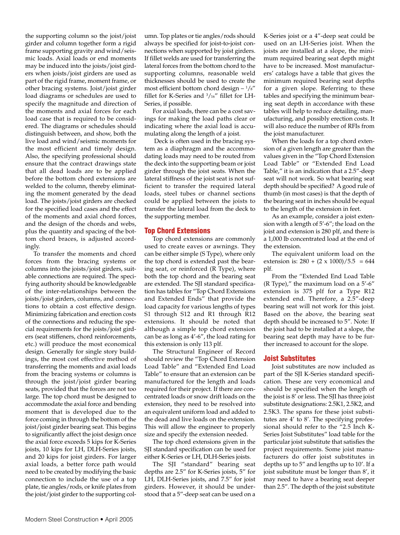the supporting column so the joist/joist girder and column together form a rigid frame supporting gravity and wind/seismic loads. Axial loads or end moments may be induced into the joists/joist girders when joists/joist girders are used as part of the rigid frame, moment frame, or other bracing systems. Joist/joist girder load diagrams or schedules are used to specify the magnitude and direction of the moments and axial forces for each load case that is required to be considered. The diagrams or schedules should distinguish between, and show, both the live load and wind/seismic moments for the most efficient and timely design. Also, the specifying professional should ensure that the contract drawings state that all dead loads are to be applied before the bottom chord extensions are welded to the column, thereby eliminating the moment generated by the dead load. The joists/joist girders are checked for the specified load cases and the effect of the moments and axial chord forces, and the design of the chords and webs, plus the quantity and spacing of the bottom chord braces, is adjusted accordingly.

To transfer the moments and chord forces from the bracing systems or columns into the joists/joist girders, suitable connections are required. The specifying authority should be knowledgeable of the inter-relationships between the joists/joist girders, columns, and connections to obtain a cost effective design. Minimizing fabrication and erection costs of the connections and reducing the special requirements for the joists/joist girders (seat stiffeners, chord reinforcements, etc.) will produce the most economical design. Generally for single story buildings, the most cost effective method of transferring the moments and axial loads from the bracing systems or columns is through the joist/joist girder bearing seats, provided that the forces are not too large. The top chord must be designed to accommodate the axial force and bending moment that is developed due to the force coming in through the bottom of the joist/joist girder bearing seat. This begins to significantly affect the joist design once the axial force exceeds 5 kips for K-Series joists, 10 kips for LH, DLH-Series joists, and 20 kips for joist girders. For larger axial loads, a better force path would need to be created by modifying the basic connection to include the use of a top plate, tie angles/rods, or knife plates from the joist/joist girder to the supporting column. Top plates or tie angles/rods should always be specified for joist-to-joist connections when supported by joist girders. If fillet welds are used for transferring the lateral forces from the bottom chord to the supporting columns, reasonable weld thicknesses should be used to create the most efficient bottom chord design –  $\frac{1}{s}$ " fillet for K-Series and 3 /16" fillet for LH-Series, if possible.

For axial loads, there can be a cost savings for making the load paths clear or indicating where the axial load is accumulating along the length of a joist.

Deck is often used in the bracing system as a diaphragm and the accommodating loads may need to be routed from the deck into the supporting beam or joist girder through the joist seats. When the lateral stiffness of the joist seat is not sufficient to transfer the required lateral loads, steel tubes or channel sections could be applied between the joists to transfer the lateral load from the deck to the supporting member.

# **Top Chord Extensions**

Top chord extensions are commonly used to create eaves or awnings. They can be either simple (S Type), where only the top chord is extended past the bearing seat, or reinforced (R Type), where both the top chord and the bearing seat are extended. The SJI standard specification has tables for "Top Chord Extensions and Extended Ends" that provide the load capacity for various lengths of types S1 through S12 and R1 through R12 extensions. It should be noted that although a simple top chord extension can be as long as 4'-6", the load rating for this extension is only 113 plf.

The Structural Engineer of Record should review the "Top Chord Extension Load Table" and "Extended End Load Table" to ensure that an extension can be manufactured for the length and loads required for their project. If there are concentrated loads or snow drift loads on the extension, they need to be resolved into an equivalent uniform load and added to the dead and live loads on the extension. This will allow the engineer to properly size and specify the extension needed.

The top chord extensions given in the SJI standard specification can be used for either K-Series or LH, DLH-Series joists.

The SJI "standard" bearing seat depths are 2.5" for K-Series joists, 5" for LH, DLH-Series joists, and 7.5" for joist girders. However, it should be understood that a 5"-deep seat can be used on a

K-Series joist or a 4"-deep seat could be used on an LH-Series joist. When the joists are installed at a slope, the minimum required bearing seat depth might have to be increased. Most manufacturers' catalogs have a table that gives the minimum required bearing seat depths for a given slope. Referring to these tables and specifying the minimum bearing seat depth in accordance with these tables will help to reduce detailing, manufacturing, and possibly erection costs. It will also reduce the number of RFIs from the joist manufacturer.

When the loads for a top chord extension of a given length are greater than the values given in the "Top Chord Extension Load Table" or "Extended End Load Table," it is an indication that a 2.5"-deep seat will not work. So what bearing seat depth should be specified? A good rule of thumb (in most cases) is that the depth of the bearing seat in inches should be equal to the length of the extension in feet.

As an example, consider a joist extension with a length of 5'-6"; the load on the joist and extension is 280 plf, and there is a 1,000 lb concentrated load at the end of the extension.

The equivalent uniform load on the extension is:  $280 + (2 \times 1000)/5.5 = 644$ plf.

From the "Extended End Load Table (R Type)," the maximum load on a 5'-6" extension is 375 plf for a Type R12 extended end. Therefore, a 2.5"-deep bearing seat will not work for this joist. Based on the above, the bearing seat depth should be increased to 5". Note: If the joist had to be installed at a slope, the bearing seat depth may have to be further increased to account for the slope.

#### **Joist Substitutes**

Joist substitutes are now included as part of the SJI K-Series standard specification. These are very economical and should be specified when the length of the joist is 8' or less. The SJI has three joist substitute designations: 2.5K1, 2.5K2, and 2.5K3. The spans for these joist substitutes are 4' to 8'. The specifying professional should refer to the "2.5 Inch K-Series Joist Substitutes" load table for the particular joist substitute that satisfies the project requirements. Some joist manufacturers do offer joist substitutes in depths up to 5" and lengths up to 10'. If a joist substitute must be longer than 8', it may need to have a bearing seat deeper than 2.5". The depth of the joist substitute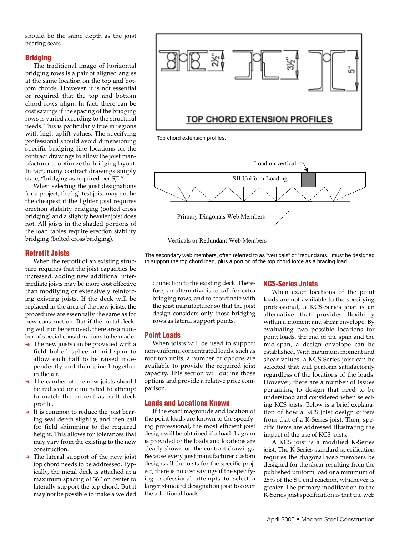should be the same depth as the joist bearing seats.

## **Bridging**

The traditional image of horizontal bridging rows is a pair of aligned angles at the same location on the top and bottom chords. However, it is not essential or required that the top and bottom chord rows align. In fact, there can be cost savings if the spacing of the bridging rows is varied according to the structural needs. This is particularly true in regions with high uplift values. The specifying professional should avoid dimensioning specific bridging line locations on the contract drawings to allow the joist manufacturer to optimize the bridging layout. In fact, many contract drawings simply state, "bridging as required per SJI."

When selecting the joist designations for a project, the lightest joist may not be the cheapest if the lighter joist requires erection stability bridging (bolted cross bridging) and a slightly heavier joist does not. All joists in the shaded portions of the load tables require erection stability bridging (bolted cross bridging).

## **Retrofit Joists**

When the retrofit of an existing structure requires that the joist capacities be increased, adding new additional intermediate joists may be more cost effective than modifying or extensively reinforcing existing joists. If the deck will be replaced in the area of the new joists, the procedures are essentially the same as for new construction. But if the metal decking will not be removed, there are a number of special considerations to be made:

- $\rightarrow$  The new joists can be provided with a field bolted splice at mid-span to allow each half to be raised independently and then joined together in the air.
- $\rightarrow$  The camber of the new joists should be reduced or eliminated to attempt to match the current as-built deck profile.
- ➜ It is common to reduce the joist bearing seat depth slightly, and then call for field shimming to the required height. This allows for tolerances that may vary from the existing to the new construction.
- $\rightarrow$  The lateral support of the new joist top chord needs to be addressed. Typically, the metal deck is attached at a maximum spacing of 36" on center to laterally support the top chord. But it may not be possible to make a welded



Top chord extension profiles.



The secondary web members, often referred to as "verticals" or "redundants," must be designed to support the top chord load, plus a portion of the top chord force as a bracing load.

connection to the existing deck. Therefore, an alternative is to call for extra bridging rows, and to coordinate with the joist manufacturer so that the joist design considers only those bridging rows as lateral support points.

# **Point Loads**

When joists will be used to support non-uniform, concentrated loads, such as roof top units, a number of options are available to provide the required joist capacity. This section will outline those options and provide a relative price comparison.

#### **Loads and Locations Known**

If the exact magnitude and location of the point loads are known to the specifying professional, the most efficient joist design will be obtained if a load diagram is provided or the loads and locations are clearly shown on the contract drawings. Because every joist manufacturer custom designs all the joists for the specific project, there is no cost savings if the specifying professional attempts to select a larger standard designation joist to cover the additional loads.

# **KCS-Series Joists**

When exact locations of the point loads are not available to the specifying professional, a KCS-Series joist is an alternative that provides flexibility within a moment and shear envelope. By evaluating two possible locations for point loads, the end of the span and the mid-span, a design envelope can be established. With maximum moment and shear values, a KCS-Series joist can be selected that will perform satisfactorily regardless of the locations of the loads. However, there are a number of issues pertaining to design that need to be understood and considered when selecting KCS joists. Below is a brief explanation of how a KCS joist design differs from that of a K-Series joist. Then, specific items are addressed illustrating the impact of the use of KCS joists.

A KCS joist is a modified K-Series joist. The K-Series standard specification requires the diagonal web members be designed for the shear resulting from the published uniform load or a minimum of 25% of the SJI end reaction, whichever is greater. The primary modification to the K-Series joist specification is that the web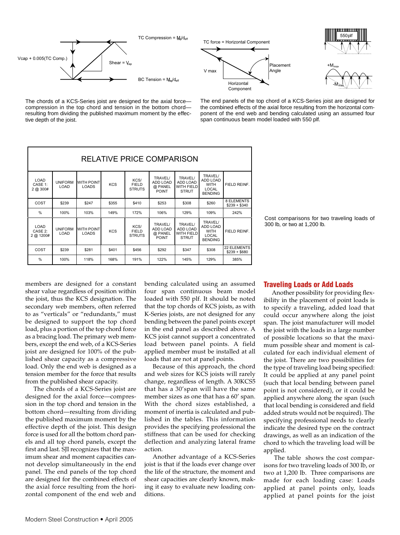







The chords of a KCS-Series joist are designed for the axial force compression in the top chord and tension in the bottom chord resulting from dividing the published maximum moment by the effective depth of the joist.

The end panels of the top chord of a KCS-Series joist are designed for the combined effects of the axial force resulting from the horizontal component of the end web and bending calculated using an assumed four span continuous beam model loaded with 550 plf.

| <b>RELATIVE PRICE COMPARISON</b> |                        |                                   |            |                                       |                                                       |                                                          |                                                                                    |                                     |
|----------------------------------|------------------------|-----------------------------------|------------|---------------------------------------|-------------------------------------------------------|----------------------------------------------------------|------------------------------------------------------------------------------------|-------------------------------------|
| LOAD<br>CASE 1:<br>$2$ @ $300#$  | <b>UNIFORM</b><br>LOAD | <b>WITH POINT</b><br><b>LOADS</b> | <b>KCS</b> | KCS/<br><b>FIELD</b><br><b>STRUTS</b> | <b>TRAVEL/</b><br>ADD LOAD<br>@ PANEL<br><b>POINT</b> | <b>TRAVEL/</b><br>ADD LOAD<br>WITH FIELD<br><b>STRUT</b> | TRAVEL/<br><b>ADD LOAD</b><br><b>WITH</b><br><b>LOCAL</b><br><b>BENDING</b>        | FIELD REINF.                        |
| COST                             | \$239                  | \$247                             | \$355      | \$410                                 | \$253                                                 | \$308                                                    | \$260                                                                              | 8 ELEMENTS<br>$$239 + $340$         |
| %                                | 100%                   | 103%                              | 149%       | 172%                                  | 106%                                                  | 129%                                                     | 109%                                                                               | 242%                                |
| LOAD<br>CASE 2:<br>2 @ 1200#     | <b>UNIFORM</b><br>LOAD | <b>WITH POINT</b><br>LOADS        | <b>KCS</b> | KCS/<br><b>FIELD</b><br><b>STRUTS</b> | <b>TRAVEL/</b><br>ADD LOAD<br>@ PANEL<br><b>POINT</b> | <b>TRAVEL/</b><br>ADD LOAD<br>WITH FIELD<br><b>STRUT</b> | <b>TRAVEL/</b><br><b>ADD LOAD</b><br><b>WITH</b><br><b>LOCAL</b><br><b>BENDING</b> | FIELD REINF.                        |
| COST                             | \$239                  | \$281                             | \$401      | \$456                                 | \$292                                                 | \$347                                                    | \$308                                                                              | <b>22 ELEMENTS</b><br>$$239 + $680$ |
| %                                | 100%                   | 118%                              | 168%       | 191%                                  | 122%                                                  | 145%                                                     | 129%                                                                               | 385%                                |

Cost comparisons for two traveling loads of 300 lb, or two at 1,200 lb.

members are designed for a constant shear value regardless of position within the joist, thus the KCS designation. The secondary web members, often referred to as "verticals" or "redundants," must be designed to support the top chord load, plus a portion of the top chord force as a bracing load. The primary web members, except the end web, of a KCS-Series joist are designed for 100% of the published shear capacity as a compressive load. Only the end web is designed as a tension member for the force that results from the published shear capacity.

The chords of a KCS-Series joist are designed for the axial force—compression in the top chord and tension in the bottom chord—resulting from dividing the published maximum moment by the effective depth of the joist. This design force is used for all the bottom chord panels and all top chord panels, except the first and last. SJI recognizes that the maximum shear and moment capacities cannot develop simultaneously in the end panel. The end panels of the top chord are designed for the combined effects of the axial force resulting from the horizontal component of the end web and

bending calculated using an assumed four span continuous beam model loaded with 550 plf. It should be noted that the top chords of KCS joists, as with K-Series joists, are not designed for any bending between the panel points except in the end panel as described above. A KCS joist cannot support a concentrated load between panel points. A field applied member must be installed at all loads that are not at panel points.

Because of this approach, the chord and web sizes for KCS joists will rarely change, regardless of length. A 30KCS5 that has a 30'span will have the same member sizes as one that has a 60' span. With the chord sizes established, a moment of inertia is calculated and published in the tables. This information provides the specifying professional the stiffness that can be used for checking deflection and analyzing lateral frame action.

Another advantage of a KCS-Series joist is that if the loads ever change over the life of the structure, the moment and shear capacities are clearly known, making it easy to evaluate new loading conditions.

# **Traveling Loads or Add Loads**

Another possibility for providing flexibility in the placement of point loads is to specify a traveling, added load that could occur anywhere along the joist span. The joist manufacturer will model the joist with the loads in a large number of possible locations so that the maximum possible shear and moment is calculated for each individual element of the joist. There are two possibilities for the type of traveling load being specified: It could be applied at any panel point (such that local bending between panel point is not considered), or it could be applied anywhere along the span (such that local bending is considered and field added struts would not be required). The specifying professional needs to clearly indicate the desired type on the contract drawings, as well as an indication of the chord to which the traveling load will be applied.

The table shows the cost comparisons for two traveling loads of 300 lb, or two at 1,200 lb. Three comparisons are made for each loading case: Loads applied at panel points only, loads applied at panel points for the joist